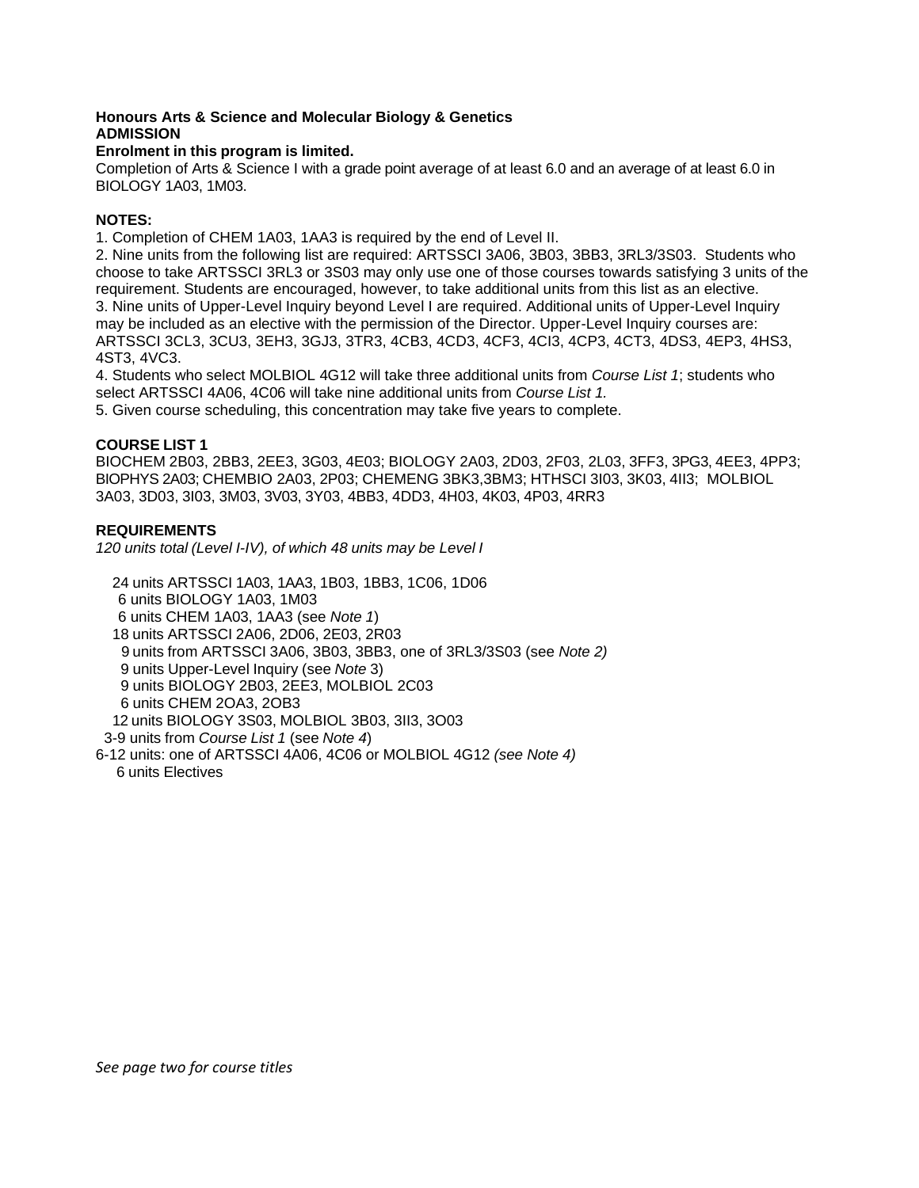# **Honours Arts & Science and Molecular Biology & Genetics ADMISSION**

## **Enrolment in this program is limited.**

Completion of Arts & Science I with a grade point average of at least 6.0 and an average of at least 6.0 in BIOLOGY 1A03, 1M03.

## **NOTES:**

1. Completion of CHEM 1A03, 1AA3 is required by the end of Level II.

2. Nine units from the following list are required: ARTSSCI 3A06, 3B03, 3BB3, 3RL3/3S03. Students who choose to take ARTSSCI 3RL3 or 3S03 may only use one of those courses towards satisfying 3 units of the requirement. Students are encouraged, however, to take additional units from this list as an elective. 3. Nine units of Upper-Level Inquiry beyond Level I are required. Additional units of Upper-Level Inquiry may be included as an elective with the permission of the Director. Upper-Level Inquiry courses are: ARTSSCI 3CL3, 3CU3, 3EH3, 3GJ3, 3TR3, 4CB3, 4CD3, 4CF3, 4CI3, 4CP3, 4CT3, 4DS3, 4EP3, 4HS3, 4ST3, 4VC3.

4. Students who select MOLBIOL 4G12 will take three additional units from *Course List 1*; students who select ARTSSCI 4A06, 4C06 will take nine additional units from *Course List 1.*

5. Given course scheduling, this concentration may take five years to complete.

## **COURSE LIST 1**

BIOCHEM 2B03, 2BB3, 2EE3, 3G03, 4E03; BIOLOGY 2A03, 2D03, 2F03, 2L03, 3FF3, 3PG3, 4EE3, 4PP3; BIOPHYS 2A03; CHEMBIO 2A03, 2P03; CHEMENG 3BK3,3BM3; HTHSCI 3I03, 3K03, 4II3; MOLBIOL 3A03, 3D03, 3I03, 3M03, 3V03, 3Y03, 4BB3, 4DD3, 4H03, 4K03, 4P03, 4RR3

## **REQUIREMENTS**

*120 units total (Level I-IV), of which 48 units may be Level I*

 24 units ARTSSCI 1A03, 1AA3, 1B03, 1BB3, 1C06, 1D06 6 units BIOLOGY 1A03, 1M03 6 units CHEM 1A03, 1AA3 (see *Note 1*) 18 units ARTSSCI 2A06, 2D06, 2E03, 2R03 9 units from ARTSSCI 3A06, 3B03, 3BB3, one of 3RL3/3S03 (see *Note 2)* 9 units Upper-Level Inquiry (see *Note* 3) 9 units BIOLOGY 2B03, 2EE3, MOLBIOL 2C03 6 units CHEM 2OA3, 2OB3 12 units BIOLOGY 3S03, MOLBIOL 3B03, 3II3, 3O03 3-9 units from *Course List 1* (see *Note 4*)

6-12 units: one of ARTSSCI 4A06, 4C06 or MOLBIOL 4G12 *(see Note 4)* 6 units Electives